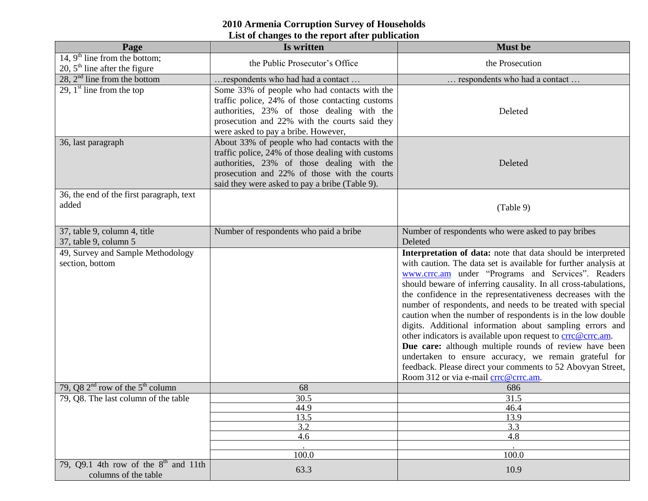## **2010 Armenia Corruption Survey of Households List of changes to the report after publication**

| Page                                                                         | Is written                                                                                                                                                                                                                                         | <b>Must be</b>                                                                                                                                                                                                                                                                                                                                                                                                                                                                                                                                                                                                                                                                                                                                                                                             |
|------------------------------------------------------------------------------|----------------------------------------------------------------------------------------------------------------------------------------------------------------------------------------------------------------------------------------------------|------------------------------------------------------------------------------------------------------------------------------------------------------------------------------------------------------------------------------------------------------------------------------------------------------------------------------------------------------------------------------------------------------------------------------------------------------------------------------------------------------------------------------------------------------------------------------------------------------------------------------------------------------------------------------------------------------------------------------------------------------------------------------------------------------------|
| 14, $9^{\text{th}}$ line from the bottom;<br>20, $5th$ line after the figure | the Public Prosecutor's Office                                                                                                                                                                                                                     | the Prosecution                                                                                                                                                                                                                                                                                                                                                                                                                                                                                                                                                                                                                                                                                                                                                                                            |
| 28, $2nd$ line from the bottom                                               | respondents who had had a contact                                                                                                                                                                                                                  | respondents who had a contact                                                                                                                                                                                                                                                                                                                                                                                                                                                                                                                                                                                                                                                                                                                                                                              |
| 29, $1st$ line from the top                                                  | Some 33% of people who had contacts with the<br>traffic police, 24% of those contacting customs<br>authorities, 23% of those dealing with the<br>prosecution and 22% with the courts said they<br>were asked to pay a bribe. However,              | Deleted                                                                                                                                                                                                                                                                                                                                                                                                                                                                                                                                                                                                                                                                                                                                                                                                    |
| 36, last paragraph                                                           | About 33% of people who had contacts with the<br>traffic police, 24% of those dealing with customs<br>authorities, 23% of those dealing with the<br>prosecution and 22% of those with the courts<br>said they were asked to pay a bribe (Table 9). | Deleted                                                                                                                                                                                                                                                                                                                                                                                                                                                                                                                                                                                                                                                                                                                                                                                                    |
| 36, the end of the first paragraph, text<br>added                            |                                                                                                                                                                                                                                                    | (Table 9)                                                                                                                                                                                                                                                                                                                                                                                                                                                                                                                                                                                                                                                                                                                                                                                                  |
| 37, table 9, column 4, title<br>37, table 9, column 5                        | Number of respondents who paid a bribe                                                                                                                                                                                                             | Number of respondents who were asked to pay bribes<br>Deleted                                                                                                                                                                                                                                                                                                                                                                                                                                                                                                                                                                                                                                                                                                                                              |
| 49, Survey and Sample Methodology<br>section, bottom                         |                                                                                                                                                                                                                                                    | Interpretation of data: note that data should be interpreted<br>with caution. The data set is available for further analysis at<br>www.crrc.am under "Programs and Services". Readers<br>should beware of inferring causality. In all cross-tabulations,<br>the confidence in the representativeness decreases with the<br>number of respondents, and needs to be treated with special<br>caution when the number of respondents is in the low double<br>digits. Additional information about sampling errors and<br>other indicators is available upon request to crrc@crrc.am.<br>Due care: although multiple rounds of review have been<br>undertaken to ensure accuracy, we remain grateful for<br>feedback. Please direct your comments to 52 Abovyan Street,<br>Room 312 or via e-mail crrc@crrc.am. |
| 79, Q8 $2nd$ row of the $5th$ column                                         | 68                                                                                                                                                                                                                                                 | 686                                                                                                                                                                                                                                                                                                                                                                                                                                                                                                                                                                                                                                                                                                                                                                                                        |
| 79, Q8. The last column of the table                                         | 30.5                                                                                                                                                                                                                                               | 31.5                                                                                                                                                                                                                                                                                                                                                                                                                                                                                                                                                                                                                                                                                                                                                                                                       |
|                                                                              | 44.9                                                                                                                                                                                                                                               | 46.4                                                                                                                                                                                                                                                                                                                                                                                                                                                                                                                                                                                                                                                                                                                                                                                                       |
|                                                                              | 13.5                                                                                                                                                                                                                                               | 13.9                                                                                                                                                                                                                                                                                                                                                                                                                                                                                                                                                                                                                                                                                                                                                                                                       |
|                                                                              | 3.2                                                                                                                                                                                                                                                | 3.3                                                                                                                                                                                                                                                                                                                                                                                                                                                                                                                                                                                                                                                                                                                                                                                                        |
|                                                                              | 4.6                                                                                                                                                                                                                                                | 4.8                                                                                                                                                                                                                                                                                                                                                                                                                                                                                                                                                                                                                                                                                                                                                                                                        |
|                                                                              | 100.0                                                                                                                                                                                                                                              | 100.0                                                                                                                                                                                                                                                                                                                                                                                                                                                                                                                                                                                                                                                                                                                                                                                                      |
| 79, $Q9.1$ 4th row of the $8th$ and 11th<br>columns of the table             | 63.3                                                                                                                                                                                                                                               | 10.9                                                                                                                                                                                                                                                                                                                                                                                                                                                                                                                                                                                                                                                                                                                                                                                                       |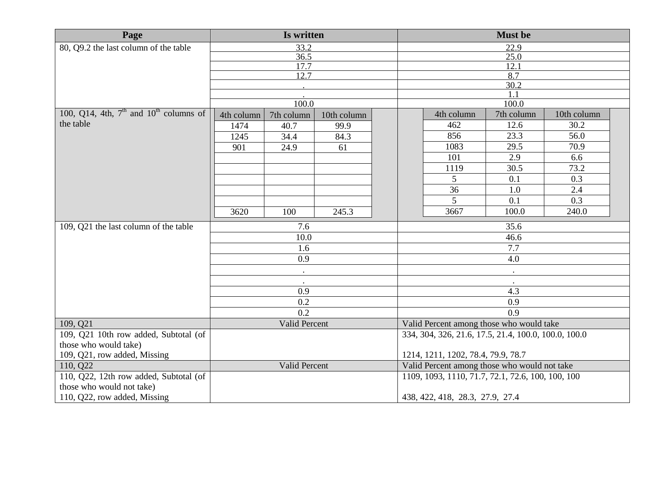| Page                                       | Is written    |               |                                              | <b>Must be</b>                                       |            |                  |  |
|--------------------------------------------|---------------|---------------|----------------------------------------------|------------------------------------------------------|------------|------------------|--|
| 80, Q9.2 the last column of the table      | 33.2          |               | 22.9                                         |                                                      |            |                  |  |
|                                            |               | 36.5          |                                              |                                                      | 25.0       |                  |  |
|                                            |               | 17.7          |                                              |                                                      | 12.1       |                  |  |
|                                            |               | 12.7          |                                              |                                                      | 8.7        |                  |  |
|                                            |               |               |                                              |                                                      | 30.2       |                  |  |
|                                            |               |               |                                              |                                                      |            |                  |  |
| 100, Q14, 4th, $7th$ and $10th$ columns of |               | 100.0         |                                              |                                                      | 100.0      |                  |  |
| the table                                  | 4th column    | 7th column    | 10th column                                  | 4th column                                           | 7th column | 10th column      |  |
|                                            | 1474          | 40.7          | 99.9                                         | 462                                                  | 12.6       | 30.2             |  |
|                                            | 1245          | 34.4          | 84.3                                         | 856                                                  | 23.3       | 56.0             |  |
|                                            | 901           | 24.9          | 61                                           | 1083                                                 | 29.5       | 70.9             |  |
|                                            |               |               |                                              | 101                                                  | 2.9        | 6.6              |  |
|                                            |               |               |                                              | 1119                                                 | 30.5       | 73.2             |  |
|                                            |               |               |                                              | 5                                                    | 0.1        | 0.3              |  |
|                                            |               |               |                                              | 36                                                   | 1.0        | 2.4              |  |
|                                            |               |               |                                              | $\overline{5}$                                       | 0.1        | $\overline{0.3}$ |  |
|                                            | 3620          | 100           | 245.3                                        | 3667                                                 | 100.0      | 240.0            |  |
| 109, Q21 the last column of the table      | 7.6           |               | 35.6                                         |                                                      |            |                  |  |
|                                            |               | 10.0          |                                              |                                                      | 46.6       |                  |  |
|                                            | 1.6           |               | 7.7                                          |                                                      |            |                  |  |
|                                            | 0.9           |               | 4.0                                          |                                                      |            |                  |  |
|                                            |               | $\bullet$     |                                              |                                                      |            |                  |  |
|                                            |               | $\bullet$     |                                              |                                                      |            |                  |  |
|                                            |               | 0.9           |                                              |                                                      | 4.3        |                  |  |
|                                            |               | 0.2           |                                              |                                                      | 0.9        |                  |  |
|                                            |               | 0.2           |                                              |                                                      | 0.9        |                  |  |
| 109, Q21                                   |               | Valid Percent |                                              | Valid Percent among those who would take             |            |                  |  |
| 109, Q21 10th row added, Subtotal (of      |               |               |                                              | 334, 304, 326, 21.6, 17.5, 21.4, 100.0, 100.0, 100.0 |            |                  |  |
| those who would take)                      |               |               |                                              |                                                      |            |                  |  |
| 109, Q21, row added, Missing               |               |               |                                              | 1214, 1211, 1202, 78.4, 79.9, 78.7                   |            |                  |  |
| 110, Q22                                   | Valid Percent |               | Valid Percent among those who would not take |                                                      |            |                  |  |
| 110, Q22, 12th row added, Subtotal (of     |               |               |                                              | 1109, 1093, 1110, 71.7, 72.1, 72.6, 100, 100, 100    |            |                  |  |
| those who would not take)                  |               |               |                                              |                                                      |            |                  |  |
| 110, Q22, row added, Missing               |               |               |                                              | 438, 422, 418, 28.3, 27.9, 27.4                      |            |                  |  |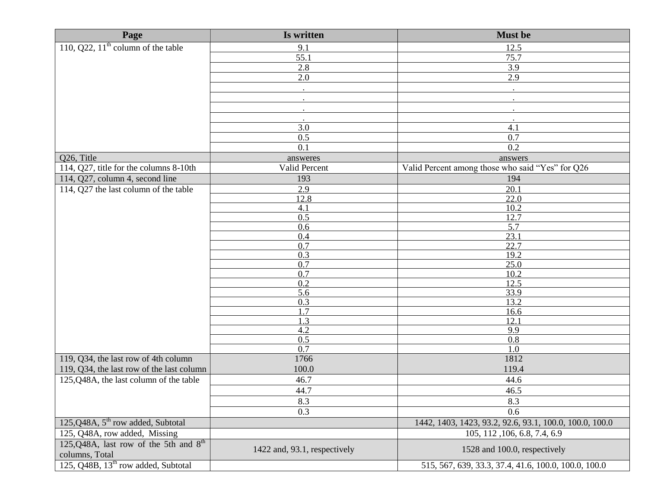| Page                                            | Is written                   | <b>Must be</b>                                          |
|-------------------------------------------------|------------------------------|---------------------------------------------------------|
| 110, Q22, $11th$ column of the table            | 9.1                          | 12.5                                                    |
|                                                 | 55.1                         | 75.7                                                    |
|                                                 | 2.8                          | 3.9                                                     |
|                                                 | 2.0                          | 2.9                                                     |
|                                                 |                              |                                                         |
|                                                 |                              |                                                         |
|                                                 |                              |                                                         |
|                                                 |                              |                                                         |
|                                                 | 3.0                          | 4.1                                                     |
|                                                 | 0.5                          | 0.7                                                     |
|                                                 | 0.1                          | 0.2                                                     |
| Q26, Title                                      | answeres                     | answers                                                 |
| 114, Q27, title for the columns 8-10th          | Valid Percent                | Valid Percent among those who said "Yes" for Q26        |
| 114, Q27, column 4, second line                 | 193                          | 194                                                     |
| 114, Q27 the last column of the table           | 2.9                          | $\overline{20.1}$                                       |
|                                                 | 12.8                         | 22.0                                                    |
|                                                 | 4.1                          | 10.2                                                    |
|                                                 | 0.5                          | 12.7                                                    |
|                                                 | 0.6                          | 5.7                                                     |
|                                                 | 0.4                          | 23.1                                                    |
|                                                 | 0.7                          | 22.7                                                    |
|                                                 | 0.3                          | 19.2                                                    |
|                                                 | 0.7<br>0.7                   | 25.0<br>10.2                                            |
|                                                 | 0.2                          | 12.5                                                    |
|                                                 | 5.6                          | 33.9                                                    |
|                                                 | 0.3                          | 13.2                                                    |
|                                                 | 1.7                          | 16.6                                                    |
|                                                 | 1.3                          | 12.1                                                    |
|                                                 | 4.2                          | 9.9                                                     |
|                                                 | 0.5                          | 0.8                                                     |
|                                                 | 0.7                          | 1.0                                                     |
| 119, Q34, the last row of 4th column            | 1766                         | 1812                                                    |
| 119, Q34, the last row of the last column       | 100.0                        | 119.4                                                   |
| 125,Q48A, the last column of the table          | 46.7                         | 44.6                                                    |
|                                                 | 44.7                         | 46.5                                                    |
|                                                 | 8.3                          | 8.3                                                     |
|                                                 | 0.3                          | 0.6                                                     |
| 125,Q48A, 5 <sup>th</sup> row added, Subtotal   |                              | 1442, 1403, 1423, 93.2, 92.6, 93.1, 100.0, 100.0, 100.0 |
| 125, Q48A, row added, Missing                   |                              | 105, 112, 106, 6.8, 7.4, 6.9                            |
| 125, Q48A, last row of the 5th and $8th$        |                              |                                                         |
| columns, Total                                  | 1422 and, 93.1, respectively | 1528 and 100.0, respectively                            |
| 125, Q48B, 13 <sup>th</sup> row added, Subtotal |                              | 515, 567, 639, 33.3, 37.4, 41.6, 100.0, 100.0, 100.0    |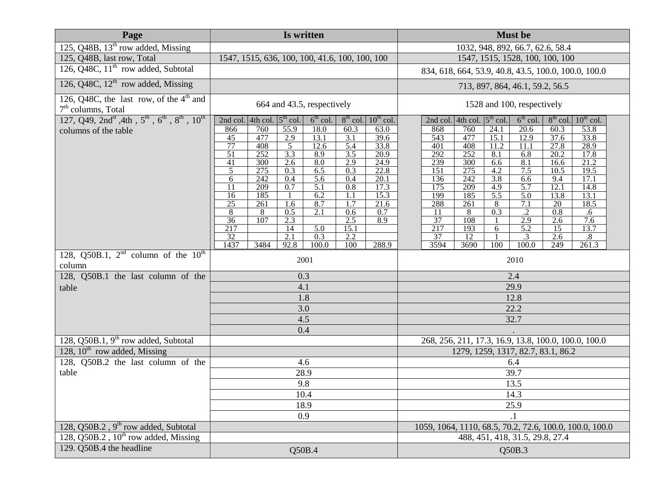| Page                                                                                                      | Is written                                                                                   | <b>Must be</b>                                                                                             |  |  |
|-----------------------------------------------------------------------------------------------------------|----------------------------------------------------------------------------------------------|------------------------------------------------------------------------------------------------------------|--|--|
| 125, Q48B, $13th$ row added, Missing                                                                      |                                                                                              | 1032, 948, 892, 66.7, 62.6, 58.4                                                                           |  |  |
| 125, Q48B, last row, Total                                                                                | 1547, 1515, 636, 100, 100, 41.6, 100, 100, 100                                               | 1547, 1515, 1528, 100, 100, 100                                                                            |  |  |
| 126, Q48C, $11th$ row added, Subtotal                                                                     |                                                                                              | 834, 618, 664, 53.9, 40.8, 43.5, 100.0, 100.0, 100.0                                                       |  |  |
| 126, Q48C, $12^{\text{th}}$ row added, Missing                                                            |                                                                                              | 713, 897, 864, 46.1, 59.2, 56.5                                                                            |  |  |
| 126, Q48C, the last row, of the $4th$ and<br>$7th$ columns, Total                                         | 664 and 43.5, respectively                                                                   | 1528 and 100, respectively                                                                                 |  |  |
| 127, Q49, 2nd <sup>st</sup> , 4th, $5^{\text{th}}$ , $6^{\text{th}}$ , $8^{\text{th}}$ , $10^{\text{th}}$ | 2nd col. 4th col. $5th$ col.<br>$6th$ col.<br>$8^{th}$ col. $10^{th}$ col.                   | 2nd col. 4th col. $5th$ col.<br>$6th$ col.<br>$8th$ col.<br>$10^{th}$ col.                                 |  |  |
| columns of the table                                                                                      | 760<br>55.9<br>18.0<br>60.3<br>866<br>63.0<br>477<br>2.9<br>$\overline{3.1}$<br>39.6<br>13.1 | 868<br>760<br>20.6<br>53.8<br>24.1<br>60.3<br>$\overline{543}$<br>477<br>37.6<br>33.8                      |  |  |
|                                                                                                           | 45<br>77<br>408<br>12.6<br>33.8<br>5<br>5.4                                                  | 15.1<br>12.9<br>28.9<br>401<br>408<br>11.2<br>27.8<br>11.1                                                 |  |  |
|                                                                                                           | 3.3<br>51<br>252<br>8.9<br>3.5<br>20.9                                                       | 252<br>292<br>$\overline{20.2}$<br>17.8<br>8.1<br>6.8                                                      |  |  |
|                                                                                                           | 41<br>2.9<br>300<br>2.6<br>8.0<br>24.9<br>5<br>275<br>6.5<br>22.8<br>0.3<br>0.3              | 239<br>8.1<br>21.2<br>300<br>6.6<br>16.6<br>151<br>275<br>4.2<br>7.5<br>10.5<br>19.5                       |  |  |
|                                                                                                           | 242<br>0.4<br>5.6<br>0.4<br>20.1<br>6                                                        | 242<br>3.8<br>136<br>17.1<br>6.6<br>9.4                                                                    |  |  |
|                                                                                                           | 209<br>5.1<br>0.7<br>$\overline{0.8}$<br>17.3<br>11                                          | 175<br>209<br>5.7<br>4.9<br>14.8<br>12.1                                                                   |  |  |
|                                                                                                           | 185<br>6.2<br>15.3<br>16<br>1.1<br>25<br>8.7<br>21.6<br>261<br>1.7<br>1.6                    | 199<br>185<br>$\overline{5.5}$<br>5.0<br>13.8<br>13.1<br>288<br>261<br>7.1<br>$\overline{20}$<br>18.5<br>8 |  |  |
|                                                                                                           | 2.1<br>0.7<br>8<br>0.5<br>0.6<br>8                                                           | 0.3<br>$\overline{.2}$<br>$\overline{11}$<br>8<br>0.8<br>.6                                                |  |  |
|                                                                                                           | $\overline{36}$<br>107<br>2.3<br>2.5<br>8.9                                                  | 37<br>108<br>2.9<br>2.6<br>7.6                                                                             |  |  |
|                                                                                                           | 217<br>$\overline{5.0}$<br>14<br>15.1<br>32<br>0.3<br>$\overline{2.1}$<br>2.2                | 217<br>5.2<br>193<br>$\overline{15}$<br>13.7<br>6<br>37<br>2.6<br>12<br>.3<br>$.8\,$                       |  |  |
|                                                                                                           | 288.9<br>1437<br>3484<br>92.8<br>100.0<br>100                                                | 3594<br>100<br>261.3<br>3690<br>100.0<br>249                                                               |  |  |
| 128, Q50B.1, $2^{nd}$ column of the $10^{th}$                                                             | 2001                                                                                         | 2010                                                                                                       |  |  |
| column                                                                                                    |                                                                                              |                                                                                                            |  |  |
| 128, Q50B.1 the last column of the                                                                        | 0.3                                                                                          | 2.4                                                                                                        |  |  |
| table                                                                                                     | 4.1                                                                                          | 29.9                                                                                                       |  |  |
|                                                                                                           | 1.8<br>3.0                                                                                   | 12.8                                                                                                       |  |  |
|                                                                                                           | 4.5                                                                                          | 22.2<br>32.7                                                                                               |  |  |
|                                                                                                           | 0.4                                                                                          |                                                                                                            |  |  |
| 128, Q50B.1, $9th$ row added, Subtotal                                                                    |                                                                                              | 268, 256, 211, 17.3, 16.9, 13.8, 100.0, 100.0, 100.0                                                       |  |  |
| 128, $10^{th}$ row added, Missing                                                                         |                                                                                              | 1279, 1259, 1317, 82.7, 83.1, 86.2                                                                         |  |  |
| 128, Q50B.2 the last column of the                                                                        | 4.6                                                                                          | 6.4                                                                                                        |  |  |
| table                                                                                                     | 28.9                                                                                         | 39.7                                                                                                       |  |  |
|                                                                                                           | 9.8                                                                                          | 13.5                                                                                                       |  |  |
|                                                                                                           | 10.4                                                                                         | 14.3                                                                                                       |  |  |
|                                                                                                           | 18.9                                                                                         | 25.9                                                                                                       |  |  |
|                                                                                                           | 0.9                                                                                          |                                                                                                            |  |  |
| 128, Q50B.2, 9 <sup>th</sup> row added, Subtotal                                                          |                                                                                              | 1059, 1064, 1110, 68.5, 70.2, 72.6, 100.0, 100.0, 100.0                                                    |  |  |
| 128, Q50B.2, 10 <sup>th</sup> row added, Missing                                                          |                                                                                              | 488, 451, 418, 31.5, 29.8, 27.4                                                                            |  |  |
| 129. Q50B.4 the headline                                                                                  | Q50B.4                                                                                       | Q50B.3                                                                                                     |  |  |